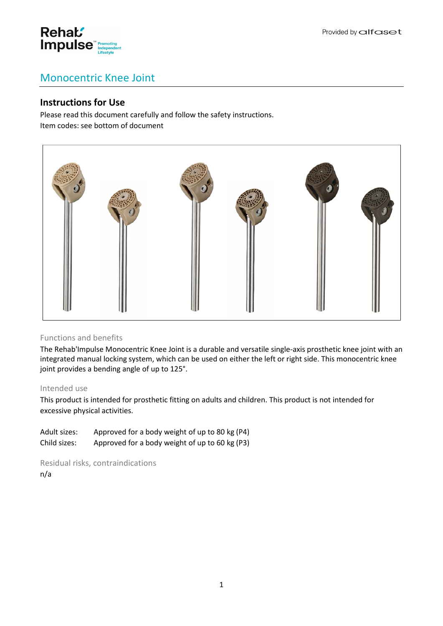

# Monocentric Knee Joint

# **Instructions for Use**

Please read this document carefully and follow the safety instructions. Item codes: see bottom of document



# Functions and benefits

The Rehab'Impulse Monocentric Knee Joint is a durable and versatile single-axis prosthetic knee joint with an integrated manual locking system, which can be used on either the left or right side. This monocentric knee joint provides a bending angle of up to 125°.

#### Intended use

This product is intended for prosthetic fitting on adults and children. This product is not intended for excessive physical activities.

Adult sizes: Approved for a body weight of up to 80 kg (P4) Child sizes: Approved for a body weight of up to 60 kg (P3)

Residual risks, contraindications n/a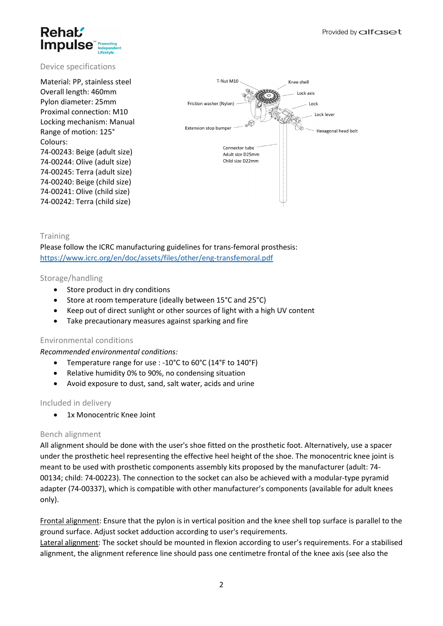### Provided by alfaset



## Device specifications

Material: PP, stainless steel Overall length: 460mm Pylon diameter: 25mm Proximal connection: M10 Locking mechanism: Manual Range of motion: 125° Colours: 74-00243: Beige (adult size) 74-00244: Olive (adult size) 74-00245: Terra (adult size) 74-00240: Beige (child size) 74-00241: Olive (child size) 74-00242: Terra (child size)



## Training

Please follow the ICRC manufacturing guidelines for trans-femoral prosthesis: <https://www.icrc.org/en/doc/assets/files/other/eng-transfemoral.pdf>

#### Storage/handling

- Store product in dry conditions
- Store at room temperature (ideally between 15°C and 25°C)
- Keep out of direct sunlight or other sources of light with a high UV content
- Take precautionary measures against sparking and fire

#### Environmental conditions

#### *Recommended environmental conditions:*

- Temperature range for use : -10°C to 60°C (14°F to 140°F)
- Relative humidity 0% to 90%, no condensing situation
- Avoid exposure to dust, sand, salt water, acids and urine

#### Included in delivery

1x Monocentric Knee Joint

# Bench alignment

All alignment should be done with the user's shoe fitted on the prosthetic foot. Alternatively, use a spacer under the prosthetic heel representing the effective heel height of the shoe. The monocentric knee joint is meant to be used with prosthetic components assembly kits proposed by the manufacturer (adult: 74- 00134; child: 74-00223). The connection to the socket can also be achieved with a modular-type pyramid adapter (74-00337), which is compatible with other manufacturer's components (available for adult knees only).

Frontal alignment: Ensure that the pylon is in vertical position and the knee shell top surface is parallel to the ground surface. Adjust socket adduction according to user's requirements.

Lateral alignment: The socket should be mounted in flexion according to user's requirements. For a stabilised alignment, the alignment reference line should pass one centimetre frontal of the knee axis (see also the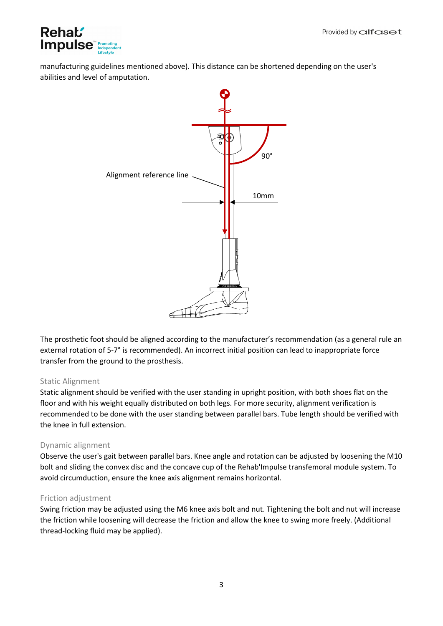

manufacturing guidelines mentioned above). This distance can be shortened depending on the user's abilities and level of amputation.



The prosthetic foot should be aligned according to the manufacturer's recommendation (as a general rule an external rotation of 5-7° is recommended). An incorrect initial position can lead to inappropriate force transfer from the ground to the prosthesis.

# Static Alignment

Static alignment should be verified with the user standing in upright position, with both shoes flat on the floor and with his weight equally distributed on both legs. For more security, alignment verification is recommended to be done with the user standing between parallel bars. Tube length should be verified with the knee in full extension.

# Dynamic alignment

Observe the user's gait between parallel bars. Knee angle and rotation can be adjusted by loosening the M10 bolt and sliding the convex disc and the concave cup of the Rehab'Impulse transfemoral module system. To avoid circumduction, ensure the knee axis alignment remains horizontal.

#### Friction adjustment

Swing friction may be adjusted using the M6 knee axis bolt and nut. Tightening the bolt and nut will increase the friction while loosening will decrease the friction and allow the knee to swing more freely. (Additional thread-locking fluid may be applied).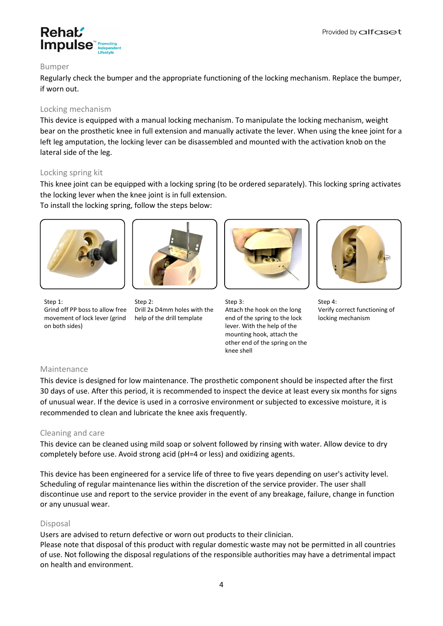

#### Bumper

Regularly check the bumper and the appropriate functioning of the locking mechanism. Replace the bumper, if worn out.

### Locking mechanism

This device is equipped with a manual locking mechanism. To manipulate the locking mechanism, weight bear on the prosthetic knee in full extension and manually activate the lever. When using the knee joint for a left leg amputation, the locking lever can be disassembled and mounted with the activation knob on the lateral side of the leg.

## Locking spring kit

This knee joint can be equipped with a locking spring (to be ordered separately). This locking spring activates the locking lever when the knee joint is in full extension.

To install the locking spring, follow the steps below:





Step 1: Grind off PP boss to allow free movement of lock lever (grind on both sides)

Step 2: Drill 2x D4mm holes with the help of the drill template



Step 3: Attach the hook on the long end of the spring to the lock lever. With the help of the mounting hook, attach the other end of the spring on the knee shell



Step 4: Verify correct functioning of locking mechanism

# Maintenance

This device is designed for low maintenance. The prosthetic component should be inspected after the first 30 days of use. After this period, it is recommended to inspect the device at least every six months for signs of unusual wear. If the device is used in a corrosive environment or subjected to excessive moisture, it is recommended to clean and lubricate the knee axis frequently.

#### Cleaning and care

This device can be cleaned using mild soap or solvent followed by rinsing with water. Allow device to dry completely before use. Avoid strong acid (pH=4 or less) and oxidizing agents.

This device has been engineered for a service life of three to five years depending on user's activity level. Scheduling of regular maintenance lies within the discretion of the service provider. The user shall discontinue use and report to the service provider in the event of any breakage, failure, change in function or any unusual wear.

#### Disposal

Users are advised to return defective or worn out products to their clinician.

Please note that disposal of this product with regular domestic waste may not be permitted in all countries of use. Not following the disposal regulations of the responsible authorities may have a detrimental impact on health and environment.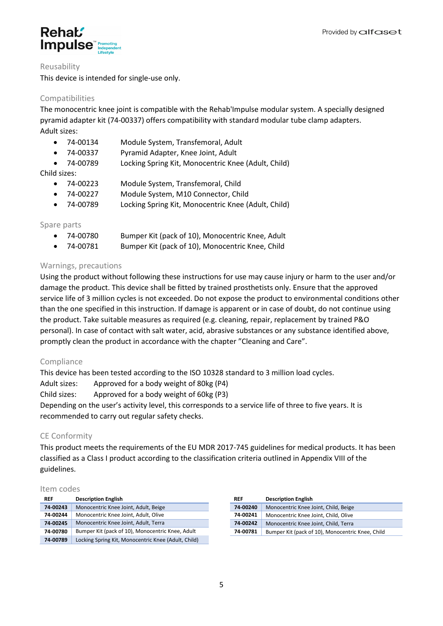



#### Reusability

This device is intended for single-use only.

# Compatibilities

The monocentric knee joint is compatible with the Rehab'Impulse modular system. A specially designed pyramid adapter kit (74-00337) offers compatibility with standard modular tube clamp adapters. Adult sizes:

- 74-00134 Module System, Transfemoral, Adult
- 74-00337 Pyramid Adapter, Knee Joint, Adult
- 74-00789 Locking Spring Kit, Monocentric Knee (Adult, Child)

Child sizes:

- 74-00223 Module System, Transfemoral, Child
- 74-00227 Module System, M10 Connector, Child
- 74-00789 Locking Spring Kit, Monocentric Knee (Adult, Child)

## Spare parts

- 74-00780 Bumper Kit (pack of 10), Monocentric Knee, Adult
- 74-00781 Bumper Kit (pack of 10), Monocentric Knee, Child

# Warnings, precautions

Using the product without following these instructions for use may cause injury or harm to the user and/or damage the product. This device shall be fitted by trained prosthetists only. Ensure that the approved service life of 3 million cycles is not exceeded. Do not expose the product to environmental conditions other than the one specified in this instruction. If damage is apparent or in case of doubt, do not continue using the product. Take suitable measures as required (e.g. cleaning, repair, replacement by trained P&O personal). In case of contact with salt water, acid, abrasive substances or any substance identified above, promptly clean the product in accordance with the chapter "Cleaning and Care".

# Compliance

This device has been tested according to the ISO 10328 standard to 3 million load cycles. Adult sizes: Approved for a body weight of 80kg (P4) Child sizes: Approved for a body weight of 60kg (P3) Depending on the user's activity level, this corresponds to a service life of three to five years. It is recommended to carry out regular safety checks.

# CE Conformity

This product meets the requirements of the EU MDR 2017-745 guidelines for medical products. It has been classified as a Class I product according to the classification criteria outlined in Appendix VIII of the guidelines.

#### Item codes

| <b>REF</b> | <b>Description English</b>                          | <b>REF</b> | <b>Description English</b>                       |
|------------|-----------------------------------------------------|------------|--------------------------------------------------|
| 74-00243   | Monocentric Knee Joint, Adult, Beige                | 74-00240   | Monocentric Knee Joint, Child, Beige             |
| 74-00244   | Monocentric Knee Joint, Adult, Olive                | 74-00241   | Monocentric Knee Joint, Child, Olive             |
| 74-00245   | Monocentric Knee Joint, Adult, Terra                | 74-00242   | Monocentric Knee Joint, Child, Terra             |
| 74-00780   | Bumper Kit (pack of 10), Monocentric Knee, Adult    | 74-00781   | Bumper Kit (pack of 10), Monocentric Knee, Child |
| 74-00789   | Locking Spring Kit, Monocentric Knee (Adult, Child) |            |                                                  |

| <b>REF</b> | <b>Description English</b>                       |
|------------|--------------------------------------------------|
| 74-00240   | Monocentric Knee Joint, Child, Beige             |
| 74-00241   | Monocentric Knee Joint, Child, Olive             |
| 74-00242   | Monocentric Knee Joint, Child, Terra             |
| 74-00781   | Bumper Kit (pack of 10), Monocentric Knee, Child |